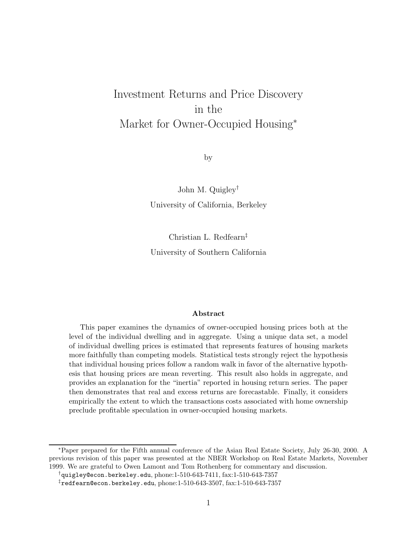# Investment Returns and Price Discovery in the Market for Owner-Occupied Housing<sup>∗</sup>

by

John M. Quigley† University of California, Berkeley

Christian L. Redfearn‡ University of Southern California

#### **Abstract**

This paper examines the dynamics of owner-occupied housing prices both at the level of the individual dwelling and in aggregate. Using a unique data set, a model of individual dwelling prices is estimated that represents features of housing markets more faithfully than competing models. Statistical tests strongly reject the hypothesis that individual housing prices follow a random walk in favor of the alternative hypothesis that housing prices are mean reverting. This result also holds in aggregate, and provides an explanation for the "inertia" reported in housing return series. The paper then demonstrates that real and excess returns are forecastable. Finally, it considers empirically the extent to which the transactions costs associated with home ownership preclude profitable speculation in owner-occupied housing markets.

<sup>∗</sup>Paper prepared for the Fifth annual conference of the Asian Real Estate Society, July 26-30, 2000. A previous revision of this paper was presented at the NBER Workshop on Real Estate Markets, November 1999. We are grateful to Owen Lamont and Tom Rothenberg for commentary and discussion.

 $\dagger$ quigley@econ.berkeley.edu, phone:1-510-643-7411, fax:1-510-643-7357

 $\texttt{ifredfearn@econ.berkeley.edu, phone:} 1-510-643-3507, \texttt{fast:} 1-510-643-7357$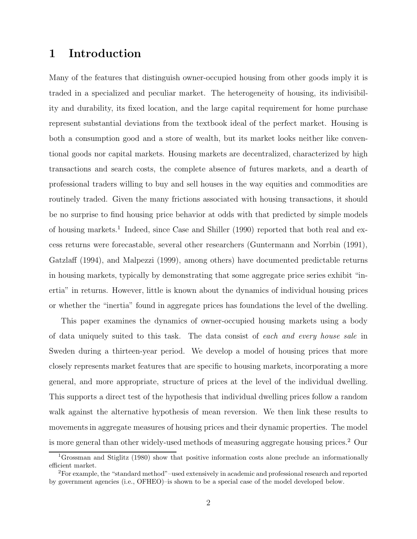## **1 Introduction**

Many of the features that distinguish owner-occupied housing from other goods imply it is traded in a specialized and peculiar market. The heterogeneity of housing, its indivisibility and durability, its fixed location, and the large capital requirement for home purchase represent substantial deviations from the textbook ideal of the perfect market. Housing is both a consumption good and a store of wealth, but its market looks neither like conventional goods nor capital markets. Housing markets are decentralized, characterized by high transactions and search costs, the complete absence of futures markets, and a dearth of professional traders willing to buy and sell houses in the way equities and commodities are routinely traded. Given the many frictions associated with housing transactions, it should be no surprise to find housing price behavior at odds with that predicted by simple models of housing markets.<sup>1</sup> Indeed, since Case and Shiller (1990) reported that both real and excess returns were forecastable, several other researchers (Guntermann and Norrbin (1991), Gatzlaff (1994), and Malpezzi (1999), among others) have documented predictable returns in housing markets, typically by demonstrating that some aggregate price series exhibit "inertia" in returns. However, little is known about the dynamics of individual housing prices or whether the "inertia" found in aggregate prices has foundations the level of the dwelling.

This paper examines the dynamics of owner-occupied housing markets using a body of data uniquely suited to this task. The data consist of each and every house sale in Sweden during a thirteen-year period. We develop a model of housing prices that more closely represents market features that are specific to housing markets, incorporating a more general, and more appropriate, structure of prices at the level of the individual dwelling. This supports a direct test of the hypothesis that individual dwelling prices follow a random walk against the alternative hypothesis of mean reversion. We then link these results to movements in aggregate measures of housing prices and their dynamic properties. The model is more general than other widely-used methods of measuring aggregate housing prices.<sup>2</sup> Our

<sup>1</sup>Grossman and Stiglitz (1980) show that positive information costs alone preclude an informationally efficient market.

<sup>2</sup>For example, the "standard method"–used extensively in academic and professional research and reported by government agencies (i.e., OFHEO)–is shown to be a special case of the model developed below.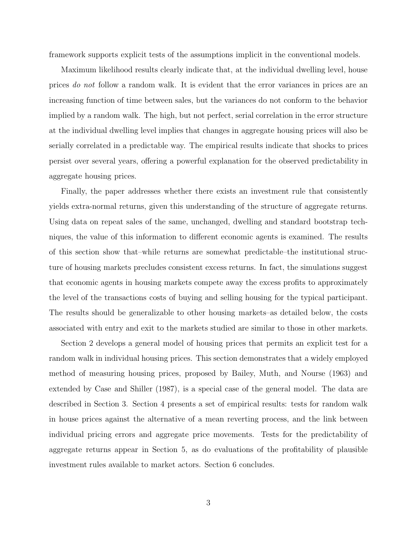framework supports explicit tests of the assumptions implicit in the conventional models.

Maximum likelihood results clearly indicate that, at the individual dwelling level, house prices do not follow a random walk. It is evident that the error variances in prices are an increasing function of time between sales, but the variances do not conform to the behavior implied by a random walk. The high, but not perfect, serial correlation in the error structure at the individual dwelling level implies that changes in aggregate housing prices will also be serially correlated in a predictable way. The empirical results indicate that shocks to prices persist over several years, offering a powerful explanation for the observed predictability in aggregate housing prices.

Finally, the paper addresses whether there exists an investment rule that consistently yields extra-normal returns, given this understanding of the structure of aggregate returns. Using data on repeat sales of the same, unchanged, dwelling and standard bootstrap techniques, the value of this information to different economic agents is examined. The results of this section show that–while returns are somewhat predictable–the institutional structure of housing markets precludes consistent excess returns. In fact, the simulations suggest that economic agents in housing markets compete away the excess profits to approximately the level of the transactions costs of buying and selling housing for the typical participant. The results should be generalizable to other housing markets–as detailed below, the costs associated with entry and exit to the markets studied are similar to those in other markets.

Section 2 develops a general model of housing prices that permits an explicit test for a random walk in individual housing prices. This section demonstrates that a widely employed method of measuring housing prices, proposed by Bailey, Muth, and Nourse (1963) and extended by Case and Shiller (1987), is a special case of the general model. The data are described in Section 3. Section 4 presents a set of empirical results: tests for random walk in house prices against the alternative of a mean reverting process, and the link between individual pricing errors and aggregate price movements. Tests for the predictability of aggregate returns appear in Section 5, as do evaluations of the profitability of plausible investment rules available to market actors. Section 6 concludes.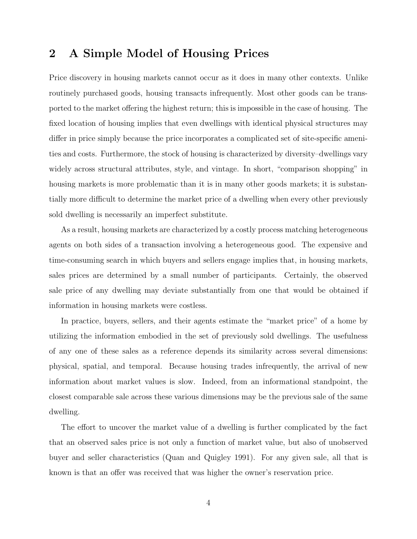## **2 A Simple Model of Housing Prices**

Price discovery in housing markets cannot occur as it does in many other contexts. Unlike routinely purchased goods, housing transacts infrequently. Most other goods can be transported to the market offering the highest return; this is impossible in the case of housing. The fixed location of housing implies that even dwellings with identical physical structures may differ in price simply because the price incorporates a complicated set of site-specific amenities and costs. Furthermore, the stock of housing is characterized by diversity–dwellings vary widely across structural attributes, style, and vintage. In short, "comparison shopping" in housing markets is more problematic than it is in many other goods markets; it is substantially more difficult to determine the market price of a dwelling when every other previously sold dwelling is necessarily an imperfect substitute.

As a result, housing markets are characterized by a costly process matching heterogeneous agents on both sides of a transaction involving a heterogeneous good. The expensive and time-consuming search in which buyers and sellers engage implies that, in housing markets, sales prices are determined by a small number of participants. Certainly, the observed sale price of any dwelling may deviate substantially from one that would be obtained if information in housing markets were costless.

In practice, buyers, sellers, and their agents estimate the "market price" of a home by utilizing the information embodied in the set of previously sold dwellings. The usefulness of any one of these sales as a reference depends its similarity across several dimensions: physical, spatial, and temporal. Because housing trades infrequently, the arrival of new information about market values is slow. Indeed, from an informational standpoint, the closest comparable sale across these various dimensions may be the previous sale of the same dwelling.

The effort to uncover the market value of a dwelling is further complicated by the fact that an observed sales price is not only a function of market value, but also of unobserved buyer and seller characteristics (Quan and Quigley 1991). For any given sale, all that is known is that an offer was received that was higher the owner's reservation price.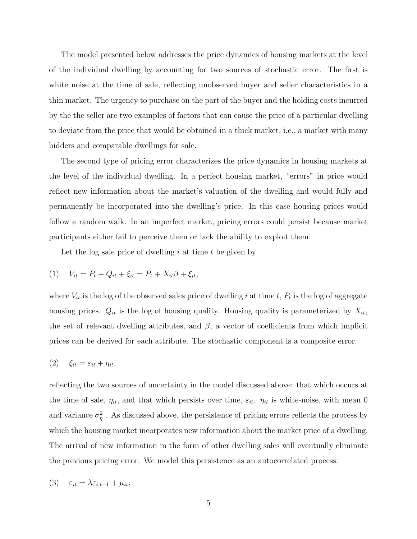The model presented below addresses the price dynamics of housing markets at the level of the individual dwelling by accounting for two sources of stochastic error. The first is white noise at the time of sale, reflecting unobserved buyer and seller characteristics in a thin market. The urgency to purchase on the part of the buyer and the holding costs incurred by the the seller are two examples of factors that can cause the price of a particular dwelling to deviate from the price that would be obtained in a thick market, i.e., a market with many bidders and comparable dwellings for sale.

The second type of pricing error characterizes the price dynamics in housing markets at the level of the individual dwelling. In a perfect housing market, "errors" in price would reflect new information about the market's valuation of the dwelling and would fully and permanently be incorporated into the dwelling's price. In this case housing prices would follow a random walk. In an imperfect market, pricing errors could persist because market participants either fail to perceive them or lack the ability to exploit them.

Let the log sale price of dwelling  $i$  at time  $t$  be given by

(1) 
$$
V_{it} = P_t + Q_{it} + \xi_{it} = P_t + X_{it}\beta + \xi_{it},
$$

where  $V_{it}$  is the log of the observed sales price of dwelling i at time t,  $P_t$  is the log of aggregate housing prices.  $Q_{it}$  is the log of housing quality. Housing quality is parameterized by  $X_{it}$ , the set of relevant dwelling attributes, and  $\beta$ , a vector of coefficients from which implicit prices can be derived for each attribute. The stochastic component is a composite error,

$$
(2) \quad \xi_{it} = \varepsilon_{it} + \eta_{it},
$$

reflecting the two sources of uncertainty in the model discussed above: that which occurs at the time of sale,  $\eta_{it}$ , and that which persists over time,  $\varepsilon_{it}$ .  $\eta_{it}$  is white-noise, with mean 0 and variance  $\sigma_{\eta}^2$ . As discussed above, the persistence of pricing errors reflects the process by which the housing market incorporates new information about the market price of a dwelling. The arrival of new information in the form of other dwelling sales will eventually eliminate the previous pricing error. We model this persistence as an autocorrelated process:

$$
(3) \quad \varepsilon_{it} = \lambda \varepsilon_{i,t-1} + \mu_{it},
$$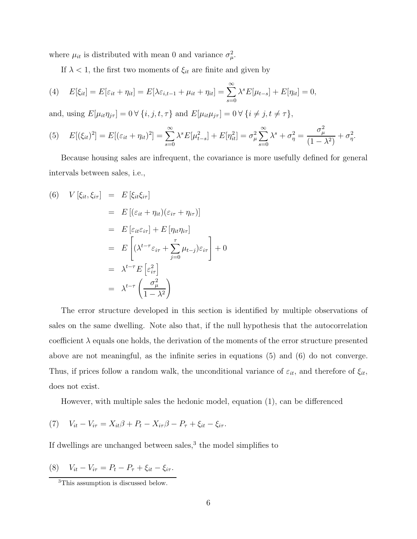where  $\mu_{it}$  is distributed with mean 0 and variance  $\sigma_{\mu}^2$ .

If  $\lambda < 1$ , the first two moments of  $\xi_{it}$  are finite and given by

(4) 
$$
E[\xi_{it}] = E[\varepsilon_{it} + \eta_{it}] = E[\lambda \varepsilon_{i,t-1} + \mu_{it} + \eta_{it}] = \sum_{s=0}^{\infty} \lambda^s E[\mu_{t-s}] + E[\eta_{it}] = 0,
$$

and, using  $E[\mu_{it} \eta_{j\tau}] = 0 \,\forall \, \{i, j, t, \tau\}$  and  $E[\mu_{it} \mu_{j\tau}] = 0 \,\forall \, \{i \neq j, t \neq \tau\},$ 

(5) 
$$
E[(\xi_{it})^2] = E[(\varepsilon_{it} + \eta_{it})^2] = \sum_{s=0}^{\infty} \lambda^s E[\mu_{t-s}^2] + E[\eta_{it}^2] = \sigma_{\mu}^2 \sum_{s=0}^{\infty} \lambda^s + \sigma_{\eta}^2 = \frac{\sigma_{\mu}^2}{(1 - \lambda^2)} + \sigma_{\eta}^2.
$$

Because housing sales are infrequent, the covariance is more usefully defined for general intervals between sales, i.e.,

(6) 
$$
V[\xi_{it}, \xi_{i\tau}] = E[\xi_{it}\xi_{i\tau}]
$$
  
\n
$$
= E[(\varepsilon_{it} + \eta_{it})(\varepsilon_{i\tau} + \eta_{i\tau})]
$$
  
\n
$$
= E[\varepsilon_{it}\varepsilon_{i\tau}] + E[\eta_{it}\eta_{i\tau}]
$$
  
\n
$$
= E\left[\lambda^{t-\tau}\varepsilon_{i\tau} + \sum_{j=0}^{\tau}\mu_{t-j}\right]\varepsilon_{i\tau}
$$
  
\n
$$
= \lambda^{t-\tau} E[\varepsilon_{i\tau}^2]
$$
  
\n
$$
= \lambda^{t-\tau} \left(\frac{\sigma_{\mu}^2}{1-\lambda^2}\right)
$$

The error structure developed in this section is identified by multiple observations of sales on the same dwelling. Note also that, if the null hypothesis that the autocorrelation coefficient  $\lambda$  equals one holds, the derivation of the moments of the error structure presented above are not meaningful, as the infinite series in equations (5) and (6) do not converge. Thus, if prices follow a random walk, the unconditional variance of  $\varepsilon_{it}$ , and therefore of  $\xi_{it}$ , does not exist.

However, with multiple sales the hedonic model, equation (1), can be differenced

(7) 
$$
V_{it} - V_{i\tau} = X_{it}\beta + P_t - X_{i\tau}\beta - P_\tau + \xi_{it} - \xi_{i\tau}.
$$

If dwellings are unchanged between sales, $3$  the model simplifies to

(8) 
$$
V_{it} - V_{i\tau} = P_t - P_\tau + \xi_{it} - \xi_{i\tau}
$$
.

<sup>3</sup>This assumption is discussed below.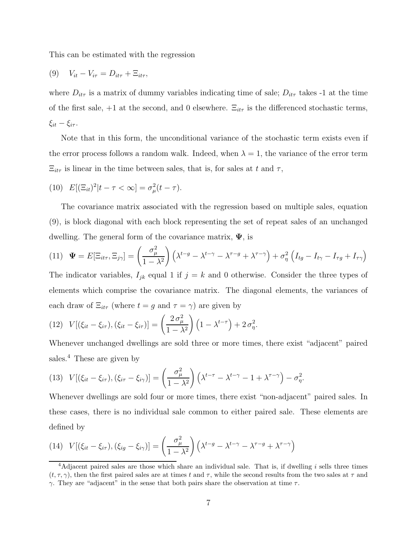This can be estimated with the regression

$$
(9) \tV_{it} - V_{i\tau} = D_{it\tau} + \Xi_{it\tau},
$$

where  $D_{it\tau}$  is a matrix of dummy variables indicating time of sale;  $D_{it\tau}$  takes -1 at the time of the first sale,  $+1$  at the second, and 0 elsewhere.  $\Xi_{it\tau}$  is the differenced stochastic terms,  $\xi_{it} - \xi_{i\tau}$ .

Note that in this form, the unconditional variance of the stochastic term exists even if the error process follows a random walk. Indeed, when  $\lambda = 1$ , the variance of the error term  $\Xi_{it\tau}$  is linear in the time between sales, that is, for sales at t and  $\tau$ ,

(10) 
$$
E[(\Xi_{it})^2|t-\tau<\infty]=\sigma^2_{\mu}(t-\tau).
$$

The covariance matrix associated with the regression based on multiple sales, equation (9), is block diagonal with each block representing the set of repeat sales of an unchanged dwelling. The general form of the covariance matrix, **Ψ**, is

(11) 
$$
\Psi = E[\Xi_{it\tau}, \Xi_{j\gamma}] = \left(\frac{\sigma_\mu^2}{1 - \lambda^2}\right) \left(\lambda^{t-g} - \lambda^{t-\gamma} - \lambda^{\tau-g} + \lambda^{\tau-\gamma}\right) + \sigma_\eta^2 \left(I_{tg} - I_{t\gamma} - I_{\tau g} + I_{\tau\gamma}\right)
$$

The indicator variables,  $I_{jk}$  equal 1 if  $j = k$  and 0 otherwise. Consider the three types of elements which comprise the covariance matrix. The diagonal elements, the variances of each draw of  $\Xi_{it\tau}$  (where  $t = g$  and  $\tau = \gamma$ ) are given by

(12) 
$$
V[(\xi_{it}-\xi_{i\tau}),(\xi_{it}-\xi_{i\tau})]=\left(\frac{2\sigma^2_{\mu}}{1-\lambda^2}\right)\left(1-\lambda^{t-\tau}\right)+2\sigma^2_{\eta}.
$$

Whenever unchanged dwellings are sold three or more times, there exist "adjacent" paired sales.<sup>4</sup> These are given by

(13) 
$$
V[(\xi_{it} - \xi_{i\tau}), (\xi_{i\tau} - \xi_{i\gamma})] = \left(\frac{\sigma_{\mu}^2}{1 - \lambda^2}\right) \left(\lambda^{t - \tau} - \lambda^{t - \gamma} - 1 + \lambda^{\tau - \gamma}\right) - \sigma_{\eta}^2.
$$

Whenever dwellings are sold four or more times, there exist "non-adjacent" paired sales. In these cases, there is no individual sale common to either paired sale. These elements are defined by

(14) 
$$
V[(\xi_{it} - \xi_{i\tau}), (\xi_{ig} - \xi_{i\gamma})] = \left(\frac{\sigma_{\mu}^2}{1 - \lambda^2}\right) \left(\lambda^{t-g} - \lambda^{t-\gamma} - \lambda^{\tau-g} + \lambda^{\tau-\gamma}\right)
$$

<sup>&</sup>lt;sup>4</sup>Adjacent paired sales are those which share an individual sale. That is, if dwelling i sells three times  $(t, \tau, \gamma)$ , then the first paired sales are at times t and  $\tau$ , while the second results from the two sales at  $\tau$  and  $\gamma$ . They are "adjacent" in the sense that both pairs share the observation at time  $\tau$ .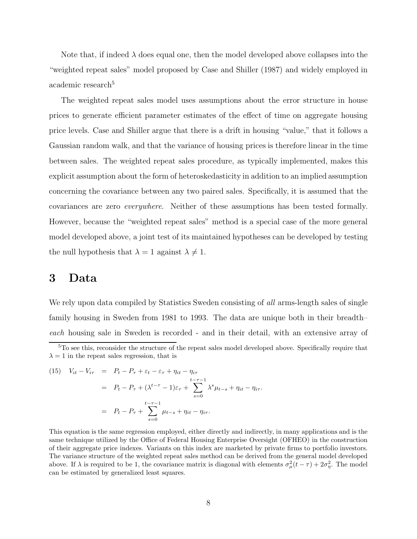Note that, if indeed  $\lambda$  does equal one, then the model developed above collapses into the "weighted repeat sales" model proposed by Case and Shiller (1987) and widely employed in academic research<sup>5</sup>

The weighted repeat sales model uses assumptions about the error structure in house prices to generate efficient parameter estimates of the effect of time on aggregate housing price levels. Case and Shiller argue that there is a drift in housing "value," that it follows a Gaussian random walk, and that the variance of housing prices is therefore linear in the time between sales. The weighted repeat sales procedure, as typically implemented, makes this explicit assumption about the form of heteroskedasticity in addition to an implied assumption concerning the covariance between any two paired sales. Specifically, it is assumed that the covariances are zero everywhere. Neither of these assumptions has been tested formally. However, because the "weighted repeat sales" method is a special case of the more general model developed above, a joint test of its maintained hypotheses can be developed by testing the null hypothesis that  $\lambda = 1$  against  $\lambda \neq 1$ .

## **3 Data**

We rely upon data compiled by Statistics Sweden consisting of *all* arms-length sales of single family housing in Sweden from 1981 to 1993. The data are unique both in their breadth– each housing sale in Sweden is recorded - and in their detail, with an extensive array of

(15) 
$$
V_{it} - V_{i\tau} = P_t - P_{\tau} + \varepsilon_t - \varepsilon_{\tau} + \eta_{it} - \eta_{i\tau}
$$

$$
= P_t - P_{\tau} + (\lambda^{t-\tau} - 1)\varepsilon_{\tau} + \sum_{s=0}^{t-\tau-1} \lambda^s \mu_{t-s} + \eta_{it} - \eta_{i\tau}.
$$

$$
= P_t - P_{\tau} + \sum_{s=0}^{t-\tau-1} \mu_{t-s} + \eta_{it} - \eta_{i\tau}.
$$

This equation is the same regression employed, either directly and indirectly, in many applications and is the same technique utilized by the Office of Federal Housing Enterprise Oversight (OFHEO) in the construction of their aggregate price indexes. Variants on this index are marketed by private firms to portfolio investors. The variance structure of the weighted repeat sales method can be derived from the general model developed above. If  $\lambda$  is required to be 1, the covariance matrix is diagonal with elements  $\sigma_{\mu}^2(t-\tau) + 2\sigma_{\eta}^2$ . The model can be estimated by generalized least squares.

<sup>&</sup>lt;sup>5</sup>To see this, reconsider the structure of the repeat sales model developed above. Specifically require that  $\lambda = 1$  in the repeat sales regression, that is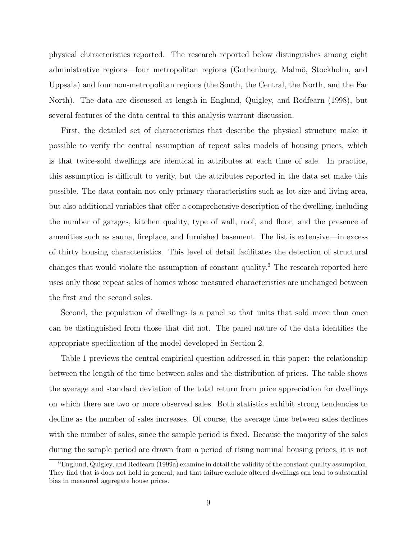physical characteristics reported. The research reported below distinguishes among eight administrative regions—four metropolitan regions (Gothenburg, Malmö, Stockholm, and Uppsala) and four non-metropolitan regions (the South, the Central, the North, and the Far North). The data are discussed at length in Englund, Quigley, and Redfearn (1998), but several features of the data central to this analysis warrant discussion.

First, the detailed set of characteristics that describe the physical structure make it possible to verify the central assumption of repeat sales models of housing prices, which is that twice-sold dwellings are identical in attributes at each time of sale. In practice, this assumption is difficult to verify, but the attributes reported in the data set make this possible. The data contain not only primary characteristics such as lot size and living area, but also additional variables that offer a comprehensive description of the dwelling, including the number of garages, kitchen quality, type of wall, roof, and floor, and the presence of amenities such as sauna, fireplace, and furnished basement. The list is extensive—in excess of thirty housing characteristics. This level of detail facilitates the detection of structural changes that would violate the assumption of constant quality.<sup>6</sup> The research reported here uses only those repeat sales of homes whose measured characteristics are unchanged between the first and the second sales.

Second, the population of dwellings is a panel so that units that sold more than once can be distinguished from those that did not. The panel nature of the data identifies the appropriate specification of the model developed in Section 2.

Table 1 previews the central empirical question addressed in this paper: the relationship between the length of the time between sales and the distribution of prices. The table shows the average and standard deviation of the total return from price appreciation for dwellings on which there are two or more observed sales. Both statistics exhibit strong tendencies to decline as the number of sales increases. Of course, the average time between sales declines with the number of sales, since the sample period is fixed. Because the majority of the sales during the sample period are drawn from a period of rising nominal housing prices, it is not

 $6$ Englund, Quigley, and Redfearn (1999a) examine in detail the validity of the constant quality assumption. They find that is does not hold in general, and that failure exclude altered dwellings can lead to substantial bias in measured aggregate house prices.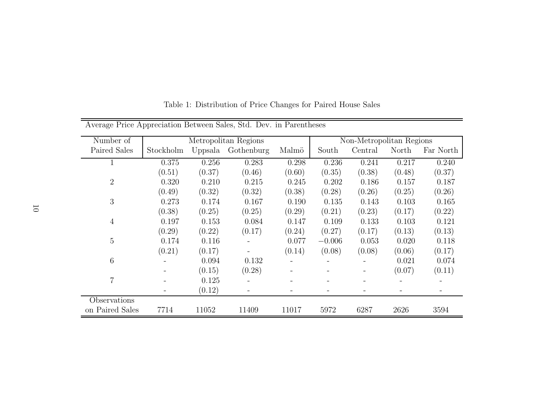| Average Price Appreciation Between Sales, Std. Dev. in Parentheses |           |         |                      |        |                          |         |        |           |
|--------------------------------------------------------------------|-----------|---------|----------------------|--------|--------------------------|---------|--------|-----------|
| Number of                                                          |           |         | Metropolitan Regions |        | Non-Metropolitan Regions |         |        |           |
| Paired Sales                                                       | Stockholm | Uppsala | Gothenburg           | Malmö  | South                    | Central | North  | Far North |
| 1                                                                  | 0.375     | 0.256   | 0.283                | 0.298  | 0.236                    | 0.241   | 0.217  | 0.240     |
|                                                                    | (0.51)    | (0.37)  | (0.46)               | (0.60) | (0.35)                   | (0.38)  | (0.48) | (0.37)    |
| $\overline{2}$                                                     | 0.320     | 0.210   | 0.215                | 0.245  | 0.202                    | 0.186   | 0.157  | 0.187     |
|                                                                    | (0.49)    | (0.32)  | (0.32)               | (0.38) | (0.28)                   | (0.26)  | (0.25) | (0.26)    |
| $\mathfrak{Z}$                                                     | 0.273     | 0.174   | 0.167                | 0.190  | 0.135                    | 0.143   | 0.103  | 0.165     |
|                                                                    | (0.38)    | (0.25)  | (0.25)               | (0.29) | (0.21)                   | (0.23)  | (0.17) | (0.22)    |
| $\overline{4}$                                                     | 0.197     | 0.153   | 0.084                | 0.147  | 0.109                    | 0.133   | 0.103  | 0.121     |
|                                                                    | (0.29)    | (0.22)  | (0.17)               | (0.24) | (0.27)                   | (0.17)  | (0.13) | (0.13)    |
| $\overline{5}$                                                     | 0.174     | 0.116   |                      | 0.077  | $-0.006$                 | 0.053   | 0.020  | 0.118     |
|                                                                    | (0.21)    | (0.17)  |                      | (0.14) | (0.08)                   | (0.08)  | (0.06) | (0.17)    |
| 6                                                                  |           | 0.094   | 0.132                |        |                          |         | 0.021  | 0.074     |
|                                                                    |           | (0.15)  | (0.28)               |        |                          |         | (0.07) | (0.11)    |
| $\overline{7}$                                                     |           | 0.125   |                      |        |                          |         |        |           |
|                                                                    |           | (0.12)  |                      |        |                          |         |        |           |
| Observations                                                       |           |         |                      |        |                          |         |        |           |
| on Paired Sales                                                    | 7714      | 11052   | 11409                | 11017  | 5972                     | 6287    | 2626   | 3594      |

Table 1: Distribution of Price Changes for Paired House Sales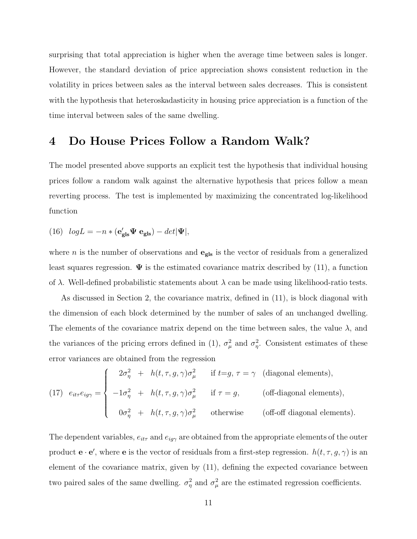surprising that total appreciation is higher when the average time between sales is longer. However, the standard deviation of price appreciation shows consistent reduction in the volatility in prices between sales as the interval between sales decreases. This is consistent with the hypothesis that heteroskadasticity in housing price appreciation is a function of the time interval between sales of the same dwelling.

## **4 Do House Prices Follow a Random Walk?**

The model presented above supports an explicit test the hypothesis that individual housing prices follow a random walk against the alternative hypothesis that prices follow a mean reverting process. The test is implemented by maximizing the concentrated log-likelihood function

(16) 
$$
log L = -n * (e'_{\text{gls}} \Psi e_{\text{gls}}) - det |\Psi|,
$$

where *n* is the number of observations and  $\mathbf{e}_{\text{gls}}$  is the vector of residuals from a generalized least squares regression.  $\Psi$  is the estimated covariance matrix described by (11), a function of  $\lambda$ . Well-defined probabilistic statements about  $\lambda$  can be made using likelihood-ratio tests.

As discussed in Section 2, the covariance matrix, defined in (11), is block diagonal with the dimension of each block determined by the number of sales of an unchanged dwelling. The elements of the covariance matrix depend on the time between sales, the value  $\lambda$ , and the variances of the pricing errors defined in (1),  $\sigma_{\mu}^2$  and  $\sigma_{\eta}^2$ . Consistent estimates of these error variances are obtained from the regression

(17) 
$$
e_{it\tau}e_{ig\gamma} = \begin{cases} 2\sigma_{\eta}^2 + h(t,\tau,g,\gamma)\sigma_{\mu}^2 & \text{if } t=g, \tau=\gamma \text{ (diagonal elements)},\\ -1\sigma_{\eta}^2 + h(t,\tau,g,\gamma)\sigma_{\mu}^2 & \text{if } \tau=g, \text{ (off-diagonal elements)},\\ 0\sigma_{\eta}^2 + h(t,\tau,g,\gamma)\sigma_{\mu}^2 & \text{otherwise} \text{ (off-off diagonal elements)}. \end{cases}
$$

The dependent variables,  $e_{it\tau}$  and  $e_{ig\gamma}$  are obtained from the appropriate elements of the outer product  $\mathbf{e} \cdot \mathbf{e}'$ , where  $\mathbf{e}$  is the vector of residuals from a first-step regression.  $h(t, \tau, g, \gamma)$  is an element of the covariance matrix, given by (11), defining the expected covariance between two paired sales of the same dwelling.  $\sigma_{\eta}^2$  and  $\sigma_{\mu}^2$  are the estimated regression coefficients.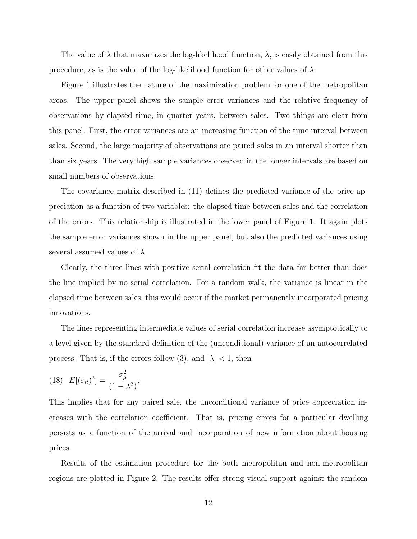The value of  $\lambda$  that maximizes the log-likelihood function,  $\lambda$ , is easily obtained from this procedure, as is the value of the log-likelihood function for other values of  $\lambda$ .

Figure 1 illustrates the nature of the maximization problem for one of the metropolitan areas. The upper panel shows the sample error variances and the relative frequency of observations by elapsed time, in quarter years, between sales. Two things are clear from this panel. First, the error variances are an increasing function of the time interval between sales. Second, the large majority of observations are paired sales in an interval shorter than than six years. The very high sample variances observed in the longer intervals are based on small numbers of observations.

The covariance matrix described in (11) defines the predicted variance of the price appreciation as a function of two variables: the elapsed time between sales and the correlation of the errors. This relationship is illustrated in the lower panel of Figure 1. It again plots the sample error variances shown in the upper panel, but also the predicted variances using several assumed values of  $\lambda$ .

Clearly, the three lines with positive serial correlation fit the data far better than does the line implied by no serial correlation. For a random walk, the variance is linear in the elapsed time between sales; this would occur if the market permanently incorporated pricing innovations.

The lines representing intermediate values of serial correlation increase asymptotically to a level given by the standard definition of the (unconditional) variance of an autocorrelated process. That is, if the errors follow (3), and  $|\lambda| < 1$ , then

(18) 
$$
E[(\varepsilon_{it})^2] = \frac{\sigma_\mu^2}{(1-\lambda^2)}.
$$

This implies that for any paired sale, the unconditional variance of price appreciation increases with the correlation coefficient. That is, pricing errors for a particular dwelling persists as a function of the arrival and incorporation of new information about housing prices.

Results of the estimation procedure for the both metropolitan and non-metropolitan regions are plotted in Figure 2. The results offer strong visual support against the random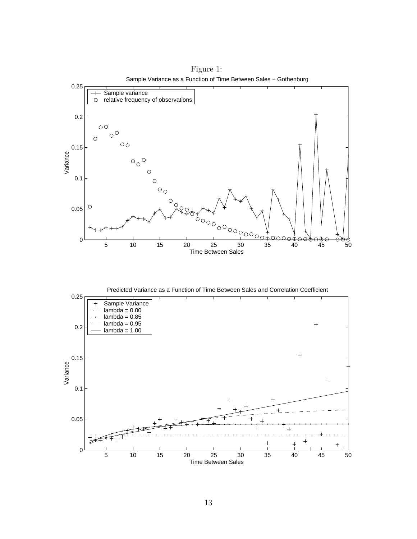

Figure 1:

Predicted Variance as a Function of Time Between Sales and Correlation Coefficient

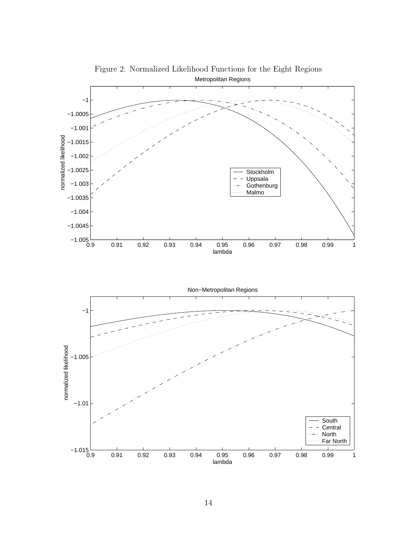

Figure 2: Normalized Likelihood Functions for the Eight Regions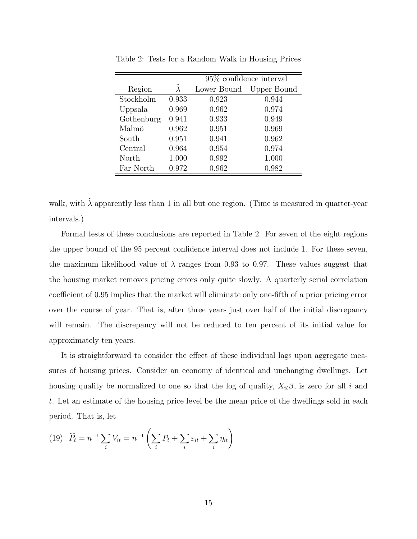|            |                   | $95\%$ confidence interval |             |  |  |  |
|------------|-------------------|----------------------------|-------------|--|--|--|
| Region     | $\tilde{\lambda}$ | Lower Bound                | Upper Bound |  |  |  |
| Stockholm  | 0.933             | 0.923                      | 0.944       |  |  |  |
| Uppsala    | 0.969             | 0.962                      | 0.974       |  |  |  |
| Gothenburg | 0.941             | 0.933                      | 0.949       |  |  |  |
| Malmö      | 0.962             | 0.951                      | 0.969       |  |  |  |
| South      | 0.951             | 0.941                      | 0.962       |  |  |  |
| Central    | 0.964             | 0.954                      | 0.974       |  |  |  |
| North      | 1.000             | 0.992                      | 1.000       |  |  |  |
| Far North  | 0.972             | 0.962                      | 0.982       |  |  |  |

Table 2: Tests for a Random Walk in Housing Prices

walk, with  $\tilde{\lambda}$  apparently less than 1 in all but one region. (Time is measured in quarter-year intervals.)

Formal tests of these conclusions are reported in Table 2. For seven of the eight regions the upper bound of the 95 percent confidence interval does not include 1. For these seven, the maximum likelihood value of  $\lambda$  ranges from 0.93 to 0.97. These values suggest that the housing market removes pricing errors only quite slowly. A quarterly serial correlation coefficient of 0.95 implies that the market will eliminate only one-fifth of a prior pricing error over the course of year. That is, after three years just over half of the initial discrepancy will remain. The discrepancy will not be reduced to ten percent of its initial value for approximately ten years.

It is straightforward to consider the effect of these individual lags upon aggregate measures of housing prices. Consider an economy of identical and unchanging dwellings. Let housing quality be normalized to one so that the log of quality,  $X_{it}\beta$ , is zero for all i and t. Let an estimate of the housing price level be the mean price of the dwellings sold in each period. That is, let

(19) 
$$
\widehat{P}_t = n^{-1} \sum_i V_{it} = n^{-1} \left( \sum_i P_t + \sum_i \varepsilon_{it} + \sum_i \eta_{it} \right)
$$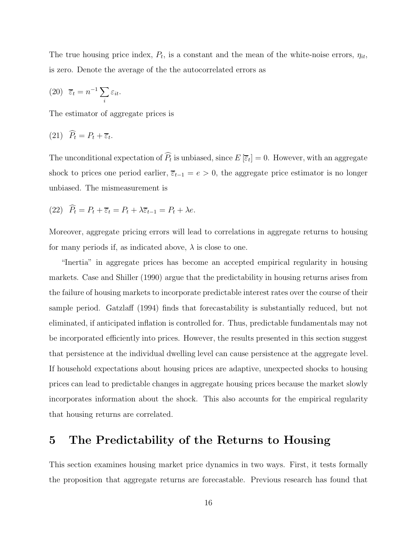The true housing price index,  $P_t$ , is a constant and the mean of the white-noise errors,  $\eta_{it}$ , is zero. Denote the average of the the autocorrelated errors as

(20) 
$$
\overline{\varepsilon}_t = n^{-1} \sum_i \varepsilon_{it}.
$$

The estimator of aggregate prices is

$$
(21) \quad P_t = P_t + \overline{\varepsilon}_t.
$$

The unconditional expectation of  $P_t$  is unbiased, since  $E\left[\overline{\epsilon}_t\right] = 0$ . However, with an aggregate shock to prices one period earlier,  $\overline{\varepsilon}_{t-1} = e > 0$ , the aggregate price estimator is no longer unbiased. The mismeasurement is

(22) 
$$
\widehat{P}_t = P_t + \overline{\varepsilon}_t = P_t + \lambda \overline{\varepsilon}_{t-1} = P_t + \lambda e.
$$

Moreover, aggregate pricing errors will lead to correlations in aggregate returns to housing for many periods if, as indicated above,  $\lambda$  is close to one.

"Inertia" in aggregate prices has become an accepted empirical regularity in housing markets. Case and Shiller (1990) argue that the predictability in housing returns arises from the failure of housing markets to incorporate predictable interest rates over the course of their sample period. Gatzlaff (1994) finds that forecastability is substantially reduced, but not eliminated, if anticipated inflation is controlled for. Thus, predictable fundamentals may not be incorporated efficiently into prices. However, the results presented in this section suggest that persistence at the individual dwelling level can cause persistence at the aggregate level. If household expectations about housing prices are adaptive, unexpected shocks to housing prices can lead to predictable changes in aggregate housing prices because the market slowly incorporates information about the shock. This also accounts for the empirical regularity that housing returns are correlated.

## **5 The Predictability of the Returns to Housing**

This section examines housing market price dynamics in two ways. First, it tests formally the proposition that aggregate returns are forecastable. Previous research has found that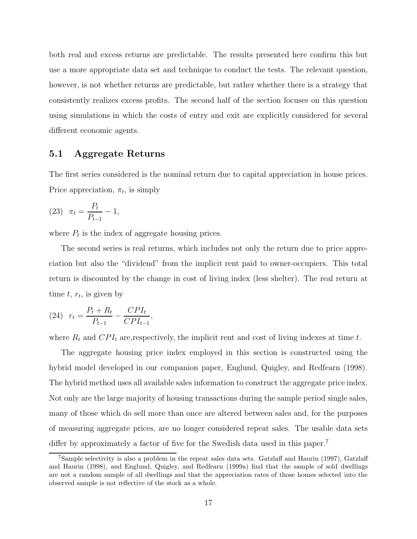both real and excess returns are predictable. The results presented here confirm this but use a more appropriate data set and technique to conduct the tests. The relevant question, however, is not whether returns are predictable, but rather whether there is a strategy that consistently realizes excess profits. The second half of the section focuses on this question using simulations in which the costs of entry and exit are explicitly considered for several different economic agents.

#### **5.1 Aggregate Returns**

The first series considered is the nominal return due to capital appreciation in house prices. Price appreciation,  $\pi_t$ , is simply

(23) 
$$
\pi_t = \frac{P_t}{P_{t-1}} - 1,
$$

where  $P_t$  is the index of aggregate housing prices.

The second series is real returns, which includes not only the return due to price appreciation but also the "dividend" from the implicit rent paid to owner-occupiers. This total return is discounted by the change in cost of living index (less shelter). The real return at time  $t, r_t$ , is given by

(24) 
$$
r_t = \frac{P_t + R_t}{P_{t-1}} - \frac{CPI_t}{CPI_{t-1}},
$$

where  $R_t$  and  $CPI_t$  are, respectively, the implicit rent and cost of living indexes at time t.

The aggregate housing price index employed in this section is constructed using the hybrid model developed in our companion paper, Englund, Quigley, and Redfearn (1998). The hybrid method uses all available sales information to construct the aggregate price index. Not only are the large majority of housing transactions during the sample period single sales, many of those which do sell more than once are altered between sales and, for the purposes of measuring aggregate prices, are no longer considered repeat sales. The usable data sets differ by approximately a factor of five for the Swedish data used in this paper.<sup>7</sup>

<sup>7</sup>Sample selectivity is also a problem in the repeat sales data sets. Gatzlaff and Haurin (1997), Gatzlaff and Haurin (1998), and Englund, Quigley, and Redfearn (1999a) find that the sample of sold dwellings are not a random sample of all dwellings and that the appreciation rates of those homes selected into the observed sample is not reflective of the stock as a whole.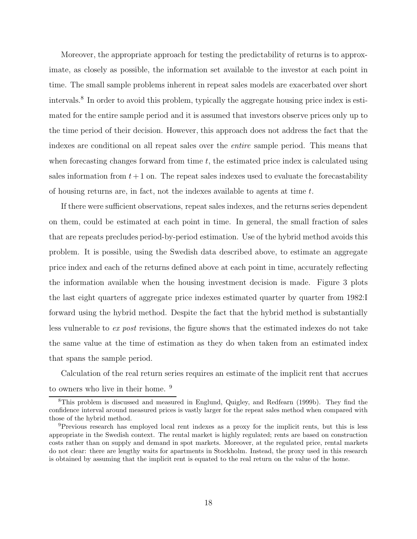Moreover, the appropriate approach for testing the predictability of returns is to approximate, as closely as possible, the information set available to the investor at each point in time. The small sample problems inherent in repeat sales models are exacerbated over short intervals.<sup>8</sup> In order to avoid this problem, typically the aggregate housing price index is estimated for the entire sample period and it is assumed that investors observe prices only up to the time period of their decision. However, this approach does not address the fact that the indexes are conditional on all repeat sales over the entire sample period. This means that when forecasting changes forward from time  $t$ , the estimated price index is calculated using sales information from  $t+1$  on. The repeat sales indexes used to evaluate the forecastability of housing returns are, in fact, not the indexes available to agents at time  $t$ .

If there were sufficient observations, repeat sales indexes, and the returns series dependent on them, could be estimated at each point in time. In general, the small fraction of sales that are repeats precludes period-by-period estimation. Use of the hybrid method avoids this problem. It is possible, using the Swedish data described above, to estimate an aggregate price index and each of the returns defined above at each point in time, accurately reflecting the information available when the housing investment decision is made. Figure 3 plots the last eight quarters of aggregate price indexes estimated quarter by quarter from 1982:I forward using the hybrid method. Despite the fact that the hybrid method is substantially less vulnerable to ex post revisions, the figure shows that the estimated indexes do not take the same value at the time of estimation as they do when taken from an estimated index that spans the sample period.

Calculation of the real return series requires an estimate of the implicit rent that accrues to owners who live in their home. <sup>9</sup>

<sup>8</sup>This problem is discussed and measured in Englund, Quigley, and Redfearn (1999b). They find the confidence interval around measured prices is vastly larger for the repeat sales method when compared with those of the hybrid method.

<sup>9</sup>Previous research has employed local rent indexes as a proxy for the implicit rents, but this is less appropriate in the Swedish context. The rental market is highly regulated; rents are based on construction costs rather than on supply and demand in spot markets. Moreover, at the regulated price, rental markets do not clear: there are lengthy waits for apartments in Stockholm. Instead, the proxy used in this research is obtained by assuming that the implicit rent is equated to the real return on the value of the home.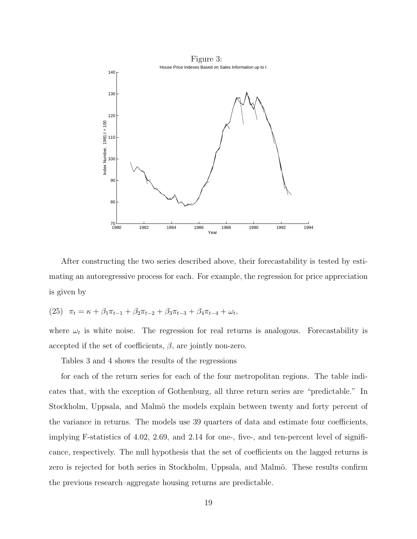

After constructing the two series described above, their forecastability is tested by estimating an autoregressive process for each. For example, the regression for price appreciation is given by

(25) 
$$
\pi_t = \kappa + \beta_1 \pi_{t-1} + \beta_2 \pi_{t-2} + \beta_3 \pi_{t-3} + \beta_4 \pi_{t-4} + \omega_t,
$$

where  $\omega_t$  is white noise. The regression for real returns is analogous. Forecastability is accepted if the set of coefficients,  $\beta$ , are jointly non-zero.

Tables 3 and 4 shows the results of the regressions

for each of the return series for each of the four metropolitan regions. The table indicates that, with the exception of Gothenburg, all three return series are "predictable." In Stockholm, Uppsala, and Malmö the models explain between twenty and forty percent of the variance in returns. The models use 39 quarters of data and estimate four coefficients, implying F-statistics of 4.02, 2.69, and 2.14 for one-, five-, and ten-percent level of significance, respectively. The null hypothesis that the set of coefficients on the lagged returns is zero is rejected for both series in Stockholm, Uppsala, and Malmö. These results confirm the previous research–aggregate housing returns are predictable.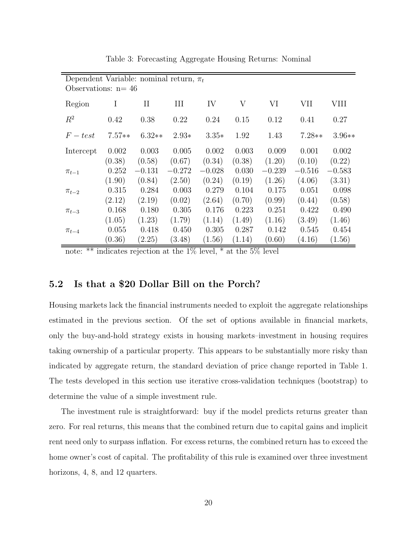| Dependent Variable: nominal return, $\pi_t$<br>Observations: $n=46$ |          |             |          |          |        |          |          |          |
|---------------------------------------------------------------------|----------|-------------|----------|----------|--------|----------|----------|----------|
| Region                                                              | I        | $_{\rm II}$ | Ш        | IV       | V      | VI       | VII      | VIII     |
| $R^2$                                                               | 0.42     | 0.38        | 0.22     | 0.24     | 0.15   | 0.12     | 0.41     | 0.27     |
| $F-test$                                                            | $7.57**$ | $6.32**$    | $2.93*$  | $3.35*$  | 1.92   | 1.43     | $7.28**$ | $3.96**$ |
| Intercept                                                           | 0.002    | 0.003       | 0.005    | 0.002    | 0.003  | 0.009    | 0.001    | 0.002    |
|                                                                     | (0.38)   | (0.58)      | (0.67)   | (0.34)   | (0.38) | (1.20)   | (0.10)   | (0.22)   |
| $\pi_{t-1}$                                                         | 0.252    | $-0.131$    | $-0.272$ | $-0.028$ | 0.030  | $-0.239$ | $-0.516$ | $-0.583$ |
|                                                                     | (1.90)   | (0.84)      | (2.50)   | (0.24)   | (0.19) | (1.26)   | (4.06)   | (3.31)   |
| $\pi_{t-2}$                                                         | 0.315    | 0.284       | 0.003    | 0.279    | 0.104  | 0.175    | 0.051    | 0.098    |
|                                                                     | (2.12)   | (2.19)      | (0.02)   | (2.64)   | (0.70) | (0.99)   | (0.44)   | (0.58)   |
| $\pi_{t-3}$                                                         | 0.168    | 0.180       | 0.305    | 0.176    | 0.223  | 0.251    | 0.422    | 0.490    |
|                                                                     | (1.05)   | (1.23)      | (1.79)   | (1.14)   | (1.49) | (1.16)   | (3.49)   | (1.46)   |
| $\pi_{t-4}$                                                         | 0.055    | 0.418       | 0.450    | 0.305    | 0.287  | 0.142    | 0.545    | 0.454    |
|                                                                     | (0.36)   | (2.25)      | (3.48)   | (1.56)   | (1.14) | (0.60)   | (4.16)   | (1.56)   |

Table 3: Forecasting Aggregate Housing Returns: Nominal

note: \*\* indicates rejection at the  $1\%$  level, \* at the  $5\%$  level

#### **5.2 Is that a \$20 Dollar Bill on the Porch?**

Housing markets lack the financial instruments needed to exploit the aggregate relationships estimated in the previous section. Of the set of options available in financial markets, only the buy-and-hold strategy exists in housing markets–investment in housing requires taking ownership of a particular property. This appears to be substantially more risky than indicated by aggregate return, the standard deviation of price change reported in Table 1. The tests developed in this section use iterative cross-validation techniques (bootstrap) to determine the value of a simple investment rule.

The investment rule is straightforward: buy if the model predicts returns greater than zero. For real returns, this means that the combined return due to capital gains and implicit rent need only to surpass inflation. For excess returns, the combined return has to exceed the home owner's cost of capital. The profitability of this rule is examined over three investment horizons, 4, 8, and 12 quarters.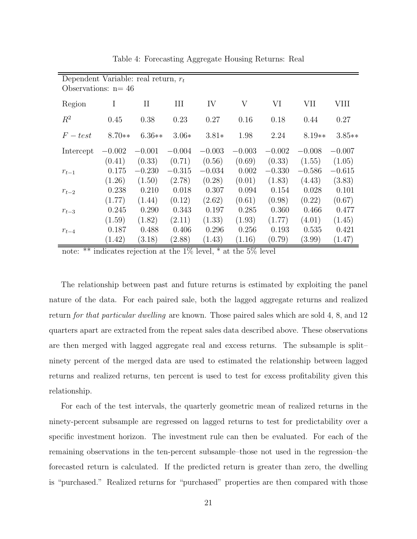| Dependent Variable: real return, $r_t$<br>Observations: $n = 46$ |          |          |          |          |          |          |          |          |
|------------------------------------------------------------------|----------|----------|----------|----------|----------|----------|----------|----------|
| Region                                                           | I        | $\rm II$ | Ш        | IV       | V        | VI       | VII      | VIII     |
| $R^2$                                                            | 0.45     | 0.38     | 0.23     | 0.27     | 0.16     | 0.18     | 0.44     | 0.27     |
| $F-test$                                                         | $8.70**$ | $6.36**$ | $3.06*$  | $3.81*$  | 1.98     | 2.24     | $8.19**$ | $3.85**$ |
| Intercept                                                        | $-0.002$ | $-0.001$ | $-0.004$ | $-0.003$ | $-0.003$ | $-0.002$ | $-0.008$ | $-0.007$ |
|                                                                  | (0.41)   | (0.33)   | (0.71)   | (0.56)   | (0.69)   | (0.33)   | (1.55)   | (1.05)   |
| $r_{t-1}$                                                        | 0.175    | $-0.230$ | $-0.315$ | $-0.034$ | 0.002    | $-0.330$ | $-0.586$ | $-0.615$ |
|                                                                  | (1.26)   | (1.50)   | (2.78)   | (0.28)   | (0.01)   | (1.83)   | (4.43)   | (3.83)   |
| $r_{t-2}$                                                        | 0.238    | 0.210    | 0.018    | 0.307    | 0.094    | 0.154    | 0.028    | 0.101    |
|                                                                  | (1.77)   | (1.44)   | (0.12)   | (2.62)   | (0.61)   | (0.98)   | (0.22)   | (0.67)   |
| $r_{t-3}$                                                        | 0.245    | 0.290    | 0.343    | 0.197    | 0.285    | 0.360    | 0.466    | 0.477    |
|                                                                  | (1.59)   | (1.82)   | (2.11)   | (1.33)   | (1.93)   | (1.77)   | (4.01)   | (1.45)   |
| $r_{t-4}$                                                        | 0.187    | 0.488    | 0.406    | 0.296    | 0.256    | 0.193    | 0.535    | 0.421    |
|                                                                  | (1.42)   | (3.18)   | (2.88)   | (1.43)   | (1.16)   | (0.79)   | (3.99)   | (1.47)   |

Table 4: Forecasting Aggregate Housing Returns: Real

note: \*\* indicates rejection at the 1% level, \* at the 5% level

The relationship between past and future returns is estimated by exploiting the panel nature of the data. For each paired sale, both the lagged aggregate returns and realized return for that particular dwelling are known. Those paired sales which are sold 4, 8, and 12 quarters apart are extracted from the repeat sales data described above. These observations are then merged with lagged aggregate real and excess returns. The subsample is split– ninety percent of the merged data are used to estimated the relationship between lagged returns and realized returns, ten percent is used to test for excess profitability given this relationship.

For each of the test intervals, the quarterly geometric mean of realized returns in the ninety-percent subsample are regressed on lagged returns to test for predictability over a specific investment horizon. The investment rule can then be evaluated. For each of the remaining observations in the ten-percent subsample–those not used in the regression–the forecasted return is calculated. If the predicted return is greater than zero, the dwelling is "purchased." Realized returns for "purchased" properties are then compared with those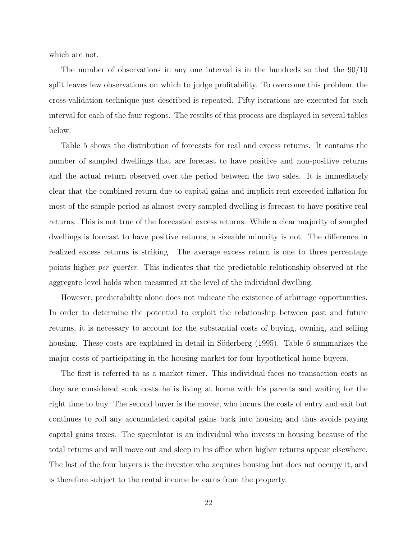which are not.

The number of observations in any one interval is in the hundreds so that the 90/10 split leaves few observations on which to judge profitability. To overcome this problem, the cross-validation technique just described is repeated. Fifty iterations are executed for each interval for each of the four regions. The results of this process are displayed in several tables below.

Table 5 shows the distribution of forecasts for real and excess returns. It contains the number of sampled dwellings that are forecast to have positive and non-positive returns and the actual return observed over the period between the two sales. It is immediately clear that the combined return due to capital gains and implicit rent exceeded inflation for most of the sample period as almost every sampled dwelling is forecast to have positive real returns. This is not true of the forecasted excess returns. While a clear majority of sampled dwellings is forecast to have positive returns, a sizeable minority is not. The difference in realized excess returns is striking. The average excess return is one to three percentage points higher per quarter. This indicates that the predictable relationship observed at the aggregate level holds when measured at the level of the individual dwelling.

However, predictability alone does not indicate the existence of arbitrage opportunities. In order to determine the potential to exploit the relationship between past and future returns, it is necessary to account for the substantial costs of buying, owning, and selling housing. These costs are explained in detail in Söderberg (1995). Table 6 summarizes the major costs of participating in the housing market for four hypothetical home buyers.

The first is referred to as a market timer. This individual faces no transaction costs as they are considered sunk costs–he is living at home with his parents and waiting for the right time to buy. The second buyer is the mover, who incurs the costs of entry and exit but continues to roll any accumulated capital gains back into housing and thus avoids paying capital gains taxes. The speculator is an individual who invests in housing because of the total returns and will move out and sleep in his office when higher returns appear elsewhere. The last of the four buyers is the investor who acquires housing but does not occupy it, and is therefore subject to the rental income he earns from the property.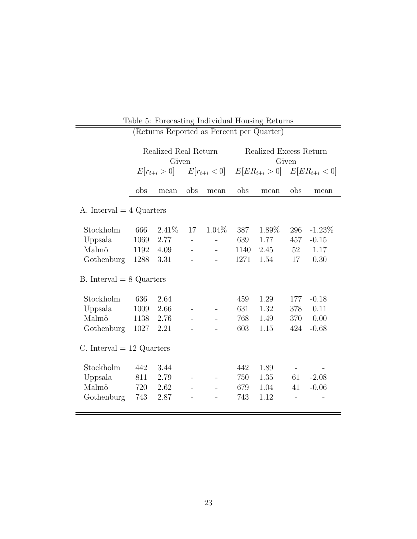| (Returns Reported as Percent per Quarter) |                               |                  |                          |                          |                                 |                                                      |                   |           |
|-------------------------------------------|-------------------------------|------------------|--------------------------|--------------------------|---------------------------------|------------------------------------------------------|-------------------|-----------|
|                                           | Realized Real Return<br>Given |                  |                          |                          | Realized Excess Return<br>Given |                                                      |                   |           |
|                                           |                               | $E[r_{t+i} > 0]$ |                          |                          |                                 | $E[r_{t+i} < 0]$ $E[ER_{t+i} > 0]$ $E[ER_{t+i} < 0]$ |                   |           |
|                                           | obs                           | mean             | obs                      | mean                     | obs                             | mean                                                 | obs               | mean      |
| A. Interval $=$ 4 Quarters                |                               |                  |                          |                          |                                 |                                                      |                   |           |
| Stockholm                                 | 666                           | 2.41%            | 17                       | $1.04\%$                 | 387                             | 1.89%                                                | 296               | $-1.23\%$ |
| Uppsala                                   | 1069                          | 2.77             | $\overline{\phantom{a}}$ | $\overline{\phantom{0}}$ | 639                             | 1.77                                                 | 457               | $-0.15$   |
| Malmö                                     | 1192                          | 4.09             | $\overline{a}$           | $\overline{a}$           | 1140                            | 2.45                                                 | 52                | 1.17      |
| Gothenburg                                | 1288                          | 3.31             |                          |                          | 1271                            | 1.54                                                 | 17                | 0.30      |
| B. Interval $= 8$ Quarters                |                               |                  |                          |                          |                                 |                                                      |                   |           |
| Stockholm                                 | 636                           | 2.64             |                          |                          | 459                             | 1.29                                                 | 177               | $-0.18$   |
| Uppsala                                   | 1009                          | 2.66             |                          | $\qquad \qquad -$        | 631                             | 1.32                                                 | 378               | 0.11      |
| Malmö                                     | 1138                          | 2.76             |                          |                          | 768                             | 1.49                                                 | 370               | 0.00      |
| Gothenburg                                | 1027                          | 2.21             |                          |                          | 603                             | 1.15                                                 | 424               | $-0.68$   |
| C. Interval $= 12$ Quarters               |                               |                  |                          |                          |                                 |                                                      |                   |           |
| Stockholm                                 | 442                           | 3.44             |                          |                          | 442                             | 1.89                                                 |                   |           |
| Uppsala                                   | 811                           | 2.79             |                          |                          | 750                             | 1.35                                                 | 61                | $-2.08$   |
| Malmö                                     | 720                           | 2.62             | $\overline{\phantom{a}}$ | $\overline{\phantom{a}}$ | 679                             | 1.04                                                 | 41                | $-0.06$   |
| Gothenburg                                | 743                           | 2.87             |                          |                          | 743                             | 1.12                                                 | $\qquad \qquad -$ |           |
|                                           |                               |                  |                          |                          |                                 |                                                      |                   |           |

Table 5: Forecasting Individual Housing Returns

 $\overline{\phantom{0}}$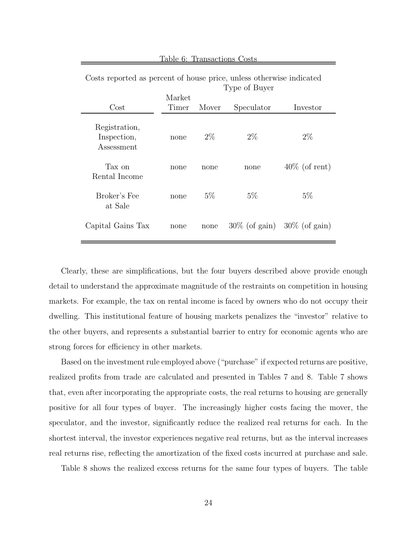| Costis reported as percent or mouse price, unless otherwise indicated | Type of Buyer   |       |                                   |                  |  |  |  |  |
|-----------------------------------------------------------------------|-----------------|-------|-----------------------------------|------------------|--|--|--|--|
| Cost                                                                  | Market<br>Timer | Mover | Speculator                        | Investor         |  |  |  |  |
| Registration,<br>Inspection,<br>Assessment                            | none            | $2\%$ | $2\%$                             | $2\%$            |  |  |  |  |
| Tax on<br>Rental Income                                               | none            | none  | none                              | $40\%$ (of rent) |  |  |  |  |
| Broker's Fee<br>at Sale                                               | none            | $5\%$ | $5\%$                             | $5\%$            |  |  |  |  |
| Capital Gains Tax                                                     | none            | none  | $30\%$ (of gain) $30\%$ (of gain) |                  |  |  |  |  |

Table 6: Transactions Costs

Costs reported as percent of house price, unless otherwise indicated

Clearly, these are simplifications, but the four buyers described above provide enough detail to understand the approximate magnitude of the restraints on competition in housing markets. For example, the tax on rental income is faced by owners who do not occupy their dwelling. This institutional feature of housing markets penalizes the "investor" relative to the other buyers, and represents a substantial barrier to entry for economic agents who are strong forces for efficiency in other markets.

Based on the investment rule employed above ("purchase" if expected returns are positive, realized profits from trade are calculated and presented in Tables 7 and 8. Table 7 shows that, even after incorporating the appropriate costs, the real returns to housing are generally positive for all four types of buyer. The increasingly higher costs facing the mover, the speculator, and the investor, significantly reduce the realized real returns for each. In the shortest interval, the investor experiences negative real returns, but as the interval increases real returns rise, reflecting the amortization of the fixed costs incurred at purchase and sale.

Table 8 shows the realized excess returns for the same four types of buyers. The table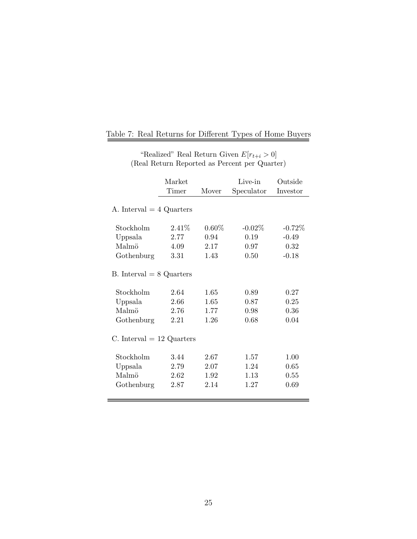|                                         | Market<br>Timer<br>Mover |          | Live-in<br>Speculator | Outside<br>Investor |  |
|-----------------------------------------|--------------------------|----------|-----------------------|---------------------|--|
| A. Interval $=$ 4 Quarters              |                          |          |                       |                     |  |
| Stockholm                               | $2.41\%$                 | $0.60\%$ | $-0.02\%$             | $-0.72\%$           |  |
| Uppsala                                 | 2.77                     | 0.94     | 0.19                  | $-0.49$             |  |
| Malmö                                   | 4.09                     | 2.17     | 0.97                  | 0.32                |  |
| Gothenburg                              | 3.31                     | 1.43     | 0.50                  | $-0.18$             |  |
| B. Interval $= 8$ Quarters<br>Stockholm | 2.64                     | 1.65     | 0.89                  | 0.27                |  |
| Uppsala                                 | 2.66                     | 1.65     | 0.87                  | 0.25                |  |
| Malmö                                   | 2.76                     | 1.77     | 0.98                  | 0.36                |  |
| Gothenburg                              | 2.21                     | 1.26     | 0.68                  | 0.04                |  |
| C. Interval $= 12$ Quarters             |                          |          |                       |                     |  |
| Stockholm                               | 3.44                     | 2.67     | 1.57                  | 1.00                |  |
| Uppsala                                 | 2.79                     | 2.07     | 1.24                  | 0.65                |  |
| Malmö                                   | 2.62                     | 1.92     | 1.13                  | 0.55                |  |
| Gothenburg                              | 2.87                     | 2.14     | 1.27                  | 0.69                |  |
|                                         |                          |          |                       |                     |  |

# Table 7: Real Returns for Different Types of Home Buyers

"Realized" Real Return Given  $E[r_{t+i} > 0]$ <br>(Real Return Reported as Percent per Quarter)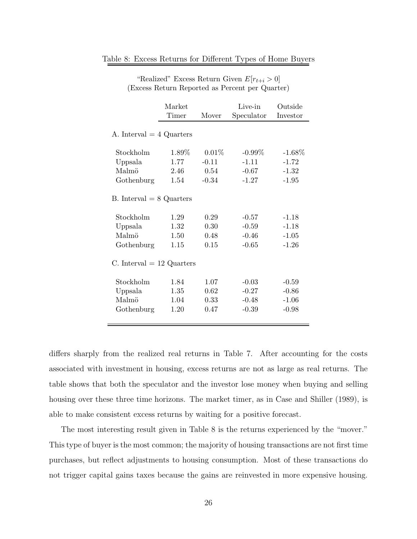|                                                                             | Market<br>Timer<br>Mover     |                              | Live-in<br>Speculator                    | Outside<br>Investor                      |
|-----------------------------------------------------------------------------|------------------------------|------------------------------|------------------------------------------|------------------------------------------|
| A. Interval $=$ 4 Quarters                                                  |                              |                              |                                          |                                          |
| Stockholm                                                                   | 1.89%                        | $0.01\%$                     | $-0.99\%$                                | $-1.68\%$                                |
| Uppsala                                                                     | 1.77                         | $-0.11$                      | $-1.11$                                  | $-1.72$                                  |
| Malmö                                                                       | 2.46                         | 0.54                         | $-0.67$                                  | $-1.32$                                  |
| Gothenburg                                                                  | 1.54                         | $-0.34$                      | $-1.27$                                  | $-1.95$                                  |
| $B.$ Interval $= 8$ Quarters<br>Stockholm<br>Uppsala<br>Malmö<br>Gothenburg | 1.29<br>1.32<br>1.50<br>1.15 | 0.29<br>0.30<br>0.48<br>0.15 | $-0.57$<br>$-0.59$<br>$-0.46$<br>$-0.65$ | $-1.18$<br>$-1.18$<br>$-1.05$<br>$-1.26$ |
| C. Interval $= 12$ Quarters                                                 |                              |                              |                                          |                                          |
| Stockholm<br>Uppsala<br>Malmö<br>Gothenburg                                 | 1.84<br>1.35<br>1.04<br>1.20 | 1.07<br>0.62<br>0.33<br>0.47 | $-0.03$<br>$-0.27$<br>$-0.48$<br>$-0.39$ | $-0.59$<br>$-0.86$<br>$-1.06$<br>$-0.98$ |
|                                                                             |                              |                              |                                          |                                          |

Table 8: Excess Returns for Different Types of Home Buyers

"Realized" Excess Return Given  $E[r_{t+i} > 0]$ (Excess Return Reported as Percent per Quarter)

differs sharply from the realized real returns in Table 7. After accounting for the costs associated with investment in housing, excess returns are not as large as real returns. The table shows that both the speculator and the investor lose money when buying and selling housing over these three time horizons. The market timer, as in Case and Shiller (1989), is able to make consistent excess returns by waiting for a positive forecast.

The most interesting result given in Table 8 is the returns experienced by the "mover." This type of buyer is the most common; the majority of housing transactions are not first time purchases, but reflect adjustments to housing consumption. Most of these transactions do not trigger capital gains taxes because the gains are reinvested in more expensive housing.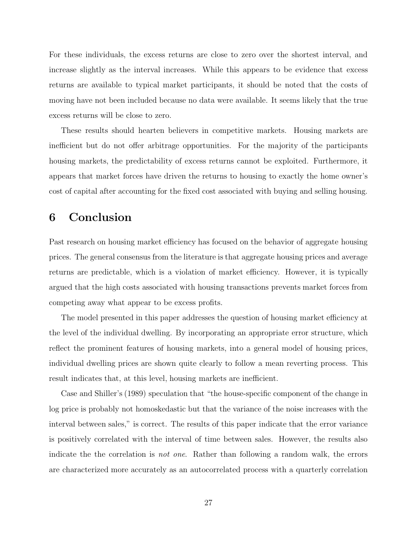For these individuals, the excess returns are close to zero over the shortest interval, and increase slightly as the interval increases. While this appears to be evidence that excess returns are available to typical market participants, it should be noted that the costs of moving have not been included because no data were available. It seems likely that the true excess returns will be close to zero.

These results should hearten believers in competitive markets. Housing markets are inefficient but do not offer arbitrage opportunities. For the majority of the participants housing markets, the predictability of excess returns cannot be exploited. Furthermore, it appears that market forces have driven the returns to housing to exactly the home owner's cost of capital after accounting for the fixed cost associated with buying and selling housing.

### **6 Conclusion**

Past research on housing market efficiency has focused on the behavior of aggregate housing prices. The general consensus from the literature is that aggregate housing prices and average returns are predictable, which is a violation of market efficiency. However, it is typically argued that the high costs associated with housing transactions prevents market forces from competing away what appear to be excess profits.

The model presented in this paper addresses the question of housing market efficiency at the level of the individual dwelling. By incorporating an appropriate error structure, which reflect the prominent features of housing markets, into a general model of housing prices, individual dwelling prices are shown quite clearly to follow a mean reverting process. This result indicates that, at this level, housing markets are inefficient.

Case and Shiller's (1989) speculation that "the house-specific component of the change in log price is probably not homoskedastic but that the variance of the noise increases with the interval between sales," is correct. The results of this paper indicate that the error variance is positively correlated with the interval of time between sales. However, the results also indicate the the correlation is not one. Rather than following a random walk, the errors are characterized more accurately as an autocorrelated process with a quarterly correlation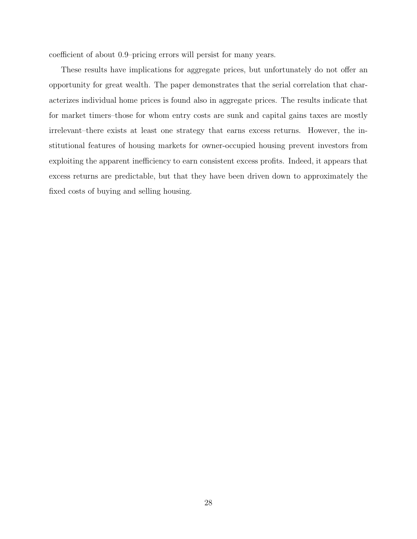coefficient of about 0.9–pricing errors will persist for many years.

These results have implications for aggregate prices, but unfortunately do not offer an opportunity for great wealth. The paper demonstrates that the serial correlation that characterizes individual home prices is found also in aggregate prices. The results indicate that for market timers–those for whom entry costs are sunk and capital gains taxes are mostly irrelevant–there exists at least one strategy that earns excess returns. However, the institutional features of housing markets for owner-occupied housing prevent investors from exploiting the apparent inefficiency to earn consistent excess profits. Indeed, it appears that excess returns are predictable, but that they have been driven down to approximately the fixed costs of buying and selling housing.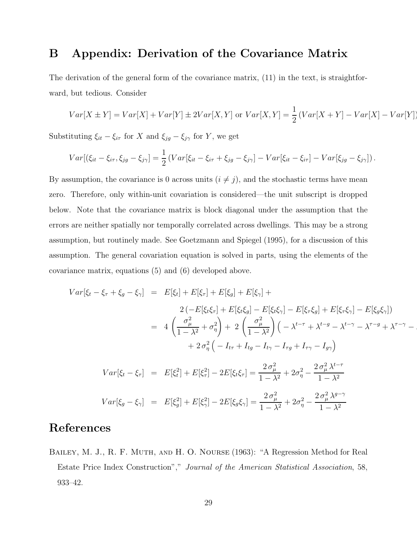## **B Appendix: Derivation of the Covariance Matrix**

The derivation of the general form of the covariance matrix, (11) in the text, is straightforward, but tedious. Consider

$$
Var[X \pm Y] = Var[X] + Var[Y] \pm 2Var[X, Y] \text{ or } Var[X, Y] = \frac{1}{2} \left( Var[X + Y] - Var[X] - Var[Y] \right)
$$

Substituting  $\xi_{it} - \xi_{i\tau}$  for X and  $\xi_{jg} - \xi_{j\gamma}$  for Y, we get

$$
Var[(\xi_{it} - \xi_{i\tau}, \xi_{jg} - \xi_{j\gamma}] = \frac{1}{2} (Var[\xi_{it} - \xi_{i\tau} + \xi_{jg} - \xi_{j\gamma}] - Var[\xi_{it} - \xi_{i\tau}] - Var[\xi_{jg} - \xi_{j\gamma}]).
$$

By assumption, the covariance is 0 across units  $(i \neq j)$ , and the stochastic terms have mean zero. Therefore, only within-unit covariation is considered—the unit subscript is dropped below. Note that the covariance matrix is block diagonal under the assumption that the errors are neither spatially nor temporally correlated across dwellings. This may be a strong assumption, but routinely made. See Goetzmann and Spiegel (1995), for a discussion of this assumption. The general covariation equation is solved in parts, using the elements of the covariance matrix, equations (5) and (6) developed above.

$$
Var[\xi_t - \xi_\tau + \xi_g - \xi_\gamma] = E[\xi_t] + E[\xi_\tau] + E[\xi_g] + E[\xi_\gamma] +
$$
  
\n
$$
2(-E[\xi_t\xi_\tau] + E[\xi_t\xi_g] - E[\xi_t\xi_\gamma] - E[\xi_\tau\xi_g] + E[\xi_\tau\xi_\gamma] - E[\xi_g\xi_\gamma])
$$
  
\n
$$
= 4\left(\frac{\sigma_\mu^2}{1 - \lambda^2} + \sigma_\eta^2\right) + 2\left(\frac{\sigma_\mu^2}{1 - \lambda^2}\right)\left(-\lambda^{t - \tau} + \lambda^{t - g} - \lambda^{t - \gamma} - \lambda^{\tau - g} + \lambda^{\tau - \gamma} - \lambda^{t - \gamma}\right)
$$
  
\n
$$
+ 2\sigma_\eta^2\left(-I_{t\tau} + I_{tg} - I_{t\gamma} - I_{\tau g} + I_{\tau\gamma} - I_{g\gamma}\right)
$$
  
\n
$$
Var[\xi_t - \xi_\tau] = E[\xi_t^2] + E[\xi_\tau^2] - 2E[\xi_t\xi_\tau] = \frac{2\sigma_\mu^2}{1 - \lambda^2} + 2\sigma_\eta^2 - \frac{2\sigma_\mu^2 \lambda^{t - \tau}}{1 - \lambda^2}
$$
  
\n
$$
Var[\xi_g - \xi_\gamma] = E[\xi_g^2] + E[\xi_\gamma^2] - 2E[\xi_g\xi_\gamma] = \frac{2\sigma_\mu^2}{1 - \lambda^2} + 2\sigma_\eta^2 - \frac{2\sigma_\mu^2 \lambda^{g - \gamma}}{1 - \lambda^2}
$$

## **References**

Bailey, M. J., R. F. Muth, and H. O. Nourse (1963): "A Regression Method for Real Estate Price Index Construction"," Journal of the American Statistical Association, 58, 933–42.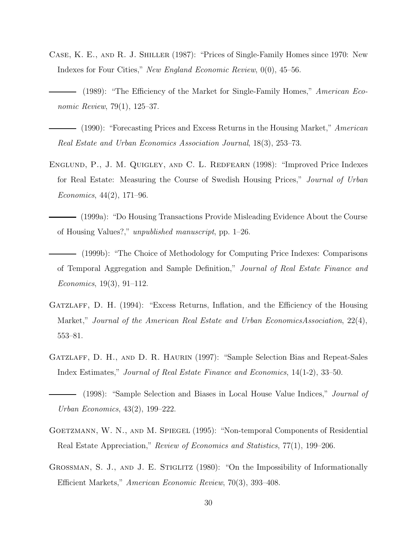Case, K. E., and R. J. Shiller (1987): "Prices of Single-Family Homes since 1970: New Indexes for Four Cities," New England Economic Review, 0(0), 45–56.

- (1990): "Forecasting Prices and Excess Returns in the Housing Market," American Real Estate and Urban Economics Association Journal, 18(3), 253–73.

- Englund, P., J. M. Quigley, and C. L. Redfearn (1998): "Improved Price Indexes for Real Estate: Measuring the Course of Swedish Housing Prices," Journal of Urban Economics, 44(2), 171–96.
	- (1999a): "Do Housing Transactions Provide Misleading Evidence About the Course of Housing Values?," unpublished manuscript, pp. 1–26.
- (1999b): "The Choice of Methodology for Computing Price Indexes: Comparisons of Temporal Aggregation and Sample Definition," Journal of Real Estate Finance and Economics, 19(3), 91–112.
- GATZLAFF, D. H. (1994): "Excess Returns, Inflation, and the Efficiency of the Housing Market," Journal of the American Real Estate and Urban EconomicsAssociation, 22(4), 553–81.
- GATZLAFF, D. H., AND D. R. HAURIN (1997): "Sample Selection Bias and Repeat-Sales Index Estimates," Journal of Real Estate Finance and Economics, 14(1-2), 33–50.

- Goetzmann, W. N., and M. Spiegel (1995): "Non-temporal Components of Residential Real Estate Appreciation," Review of Economics and Statistics, 77(1), 199–206.
- GROSSMAN, S. J., AND J. E. STIGLITZ (1980): "On the Impossibility of Informationally Efficient Markets," American Economic Review, 70(3), 393–408.

<sup>(1989): &</sup>quot;The Efficiency of the Market for Single-Family Homes," American Economic Review, 79(1), 125–37.

<sup>(1998): &</sup>quot;Sample Selection and Biases in Local House Value Indices," Journal of Urban Economics, 43(2), 199–222.